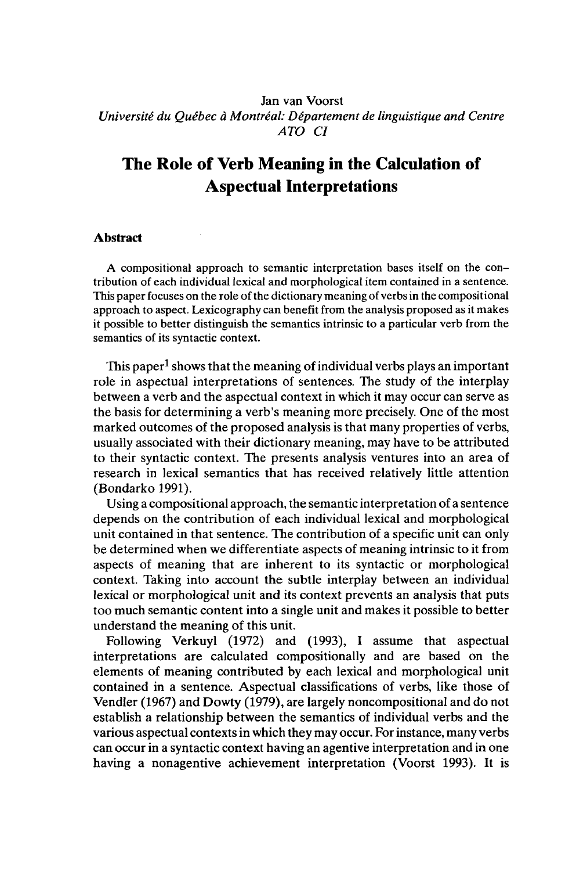## Jan van Voorst *Université du Québec à Montréal: Département de linguistique and Centre ATO CI*

# **The Role of Verb Meaning in the Calculation of Aspectual Interpretations**

### **Abstract**

A compositional approach to semantic interpretation bases itself on the contribution of each individual lexical and morphological item contained in a sentence. This paper focuses on the role of the dictionary meaning of verbs in the compositional approach to aspect. Lexicography can benefit from the analysis proposed as it makes it possible to better distinguish the semantics intrinsic to a particular verb from the semantics of its syntactic context.

This paper<sup>1</sup> shows that the meaning of individual verbs plays an important role in aspectual interpretations of sentences. The study of the interplay between a verb and the aspectual context in which it may occur can serve as the basis for determining a verb's meaning more precisely. One of the most marked outcomes of the proposed analysis is that many properties of verbs, usually associated with their dictionary meaning, may have to be attributed to their syntactic context. The presents analysis ventures into an area of research in lexical semantics that has received relatively little attention (Bondarko 1991).

Using a compositional approach, the semantic interpretation of a sentence depends on the contribution of each individual lexical and morphological unit contained in that sentence. The contribution of a specific unit can only be determined when we differentiate aspects of meaning intrinsic to it from aspects of meaning that are inherent to its syntactic or morphological context. Taking into account the subtle interplay between an individual lexical or morphological unit and its context prevents an analysis that puts too much semantic content into a single unit and makes it possible to better understand the meaning of this unit.

Following Verkuyl (1972) and (1993), I assume that aspectual interpretations are calculated compositionally and are based on the elements of meaning contributed by each lexical and morphological unit contained in a sentence. Aspectual classifications of verbs, like those of Vendler (1967) and Dowty (1979), are largely noncompositional and do not establish a relationship between the semantics of individual verbs and the various aspectual contexts in which they may occur. Forinstance, many verbs can occur in a syntactic context having an agentive interpretation and in one having a nonagentive achievement interpretation (Voorst 1993). It is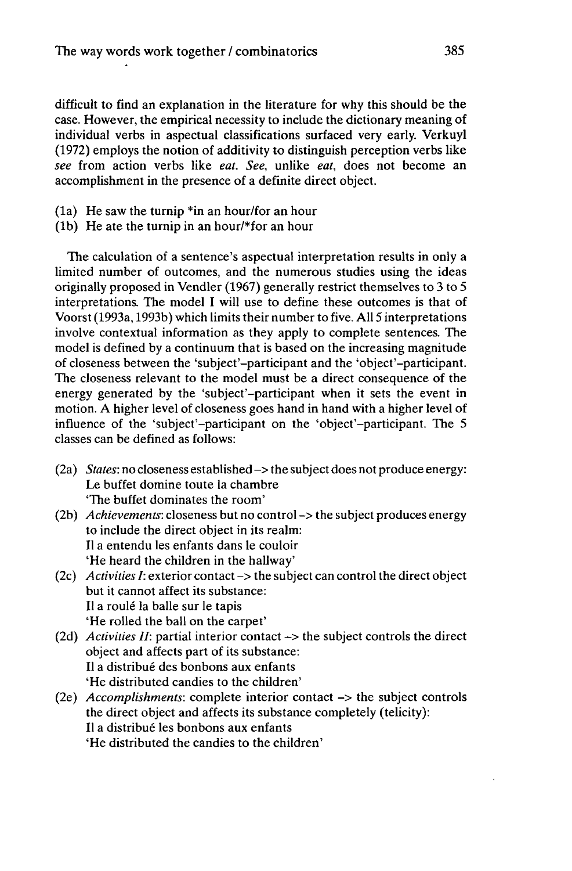difficult to find an explanation in the literature for why this should be the case. However, the empirical necessity to include the dictionary meaning of individual verbs in aspectual classifications surfaced very early. Verkuyl (1972) employs the notion of additivity to distinguish perception verbs like *see* from action verbs like *eat. See,* unlike *eat,* does not become an accomplishment in the presence of a definite direct object.

- (la) He saw the turnip \*in an hour/for an hour
- (lb) He ate the turnip in an hour/\*for an hour

The calculation of a sentence's aspectual interpretation results in only a limited number of outcomes, and the numerous studies using the ideas originally proposed in Vendler (1967) generally restrict themselves to 3 to 5 interpretations. The model I will use to define these outcomes is that of Voorst (1993a, 1993b) which limits their number to five. All 5 interpretations involve contextual information as they apply to complete sentences. The model is defined by a continuum that is based on the increasing magnitude of closeness between the 'subject-participant and the 'object-participant. The closeness relevant to the model must be a direct consequence of the energy generated by the 'subject'-participant when it sets the event in motion. A higher level of closeness goes hand in hand with a higher level of influence of the 'subject'-participant on the 'object'-participant. The 5 classes can be defined as follows:

- $(2a)$  *States:* no closeness established  $\rightarrow$  the subject does not produce energy: Le buffet domine toute la chambre 'The buffet dominates the room'
- (2b) *Achievements:* closeness but no control -> the subject produces energy to include the direct object in its realm: Il a entendu les enfants dans le couloir 'He heard the children in the hallway'
- (2c) *ActivitiesI:* exterior contact-> the subject can controlthe direct object but it cannot affect its substance: Il a roulé la balle sur le tapis 'He rolled the ball on the carpet'
- (2d) *Activities II:* partial interior contact -> the subject controls the direct object and affects part of its substance: Il a distribué des bonbons aux enfants 'He distributed candies to the children'
- (2e) *Accomplishments:* complete interior contact -> the subject controls the direct object and affects its substance completely (telicity): Il a distribué les bonbons aux enfants 'He distributed the candies to the children'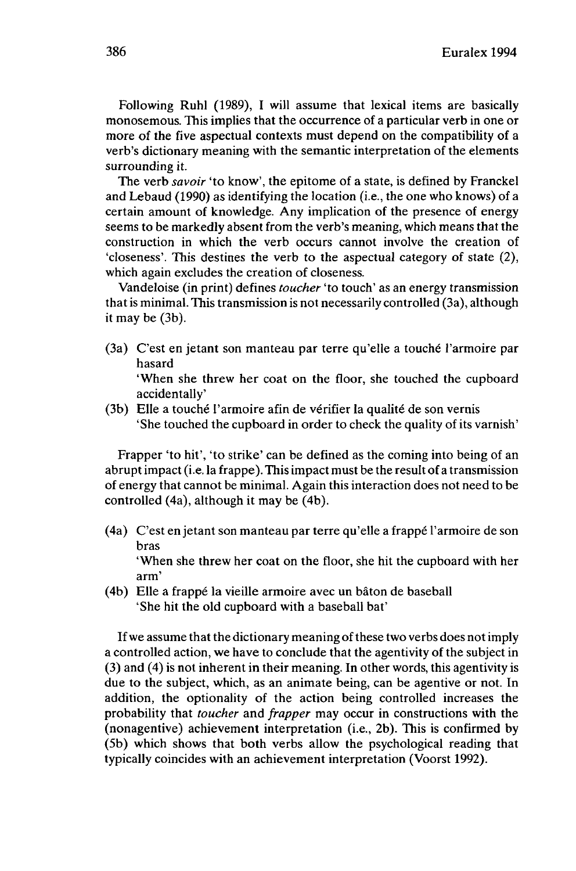Following Ruhl (1989), I will assume that lexical items are basically monosemous. This implies that the occurrence of a particular verb in one or more of the five aspectual contexts must depend on the compatibility of a verb's dictionary meaning with the semantic interpretation of the elements surrounding it.

The verb *savoir* 'to know', the epitome of a state, is defined by Franckel and Lebaud (1990) as identifying the location (i.e., the one who knows) of a certain amount of knowledge. Any implication of the presence of energy seems to be markedly absent from the verb's meaning, which means that the construction in which the verb occurs cannot involve the creation of 'closeness'. This destines the verb to the aspectual category of state (2), which again excludes the creation of closeness.

Vandeloise (in print) defines *toucher* 'to touch' as an energy transmission that is minimal. This transmission is not necessarily controlled (3a), although it may be (3b).

(3a) C'est en jetant son manteau par terre qu'elle a touché l'armoire par hasard

'When she threw her coat on the floor, she touched the cupboard accidentally'

(3b) Elle a touché l'armoire afin de vérifier la qualité de son vernis 'She touched the cupboard in order to check the quality of its varnish'

Frapper 'to hit', 'to strike' can be defined as the coming into being of an abruptimpact (i.e. la frappe). Thisimpact must be the result of a transmission of energy that cannot be minimal. Again this interaction does not need to be controlled (4a), although it may be (4b).

(4a) C'est en jetant son manteau par terre qu'elle a frappé l'armoire de son bras

'When she threw her coat on the floor, she hit the cupboard with her arm'

(4b) Elle a frappé la vieille armoire avec un bâton de baseball 'She hit the old cupboard with a baseball bat'

If we assume that the dictionary meaning of these two verbs does not imply a controlled action, we have to conclude that the agentivity of the subject in (3) and (4) is not inherent in their meaning. In other words, this agentivity is due to the subject, which, as an animate being, can be agentive or not. In addition, the optionality of the action being controlled increases the probability that *toucher* and *frapper* may occur in constructions with the (nonagentive) achievement interpretation (i.e., 2b). This is confirmed by (5b) which shows that both verbs allow the psychological reading that typically coincides with an achievement interpretation (Voorst 1992).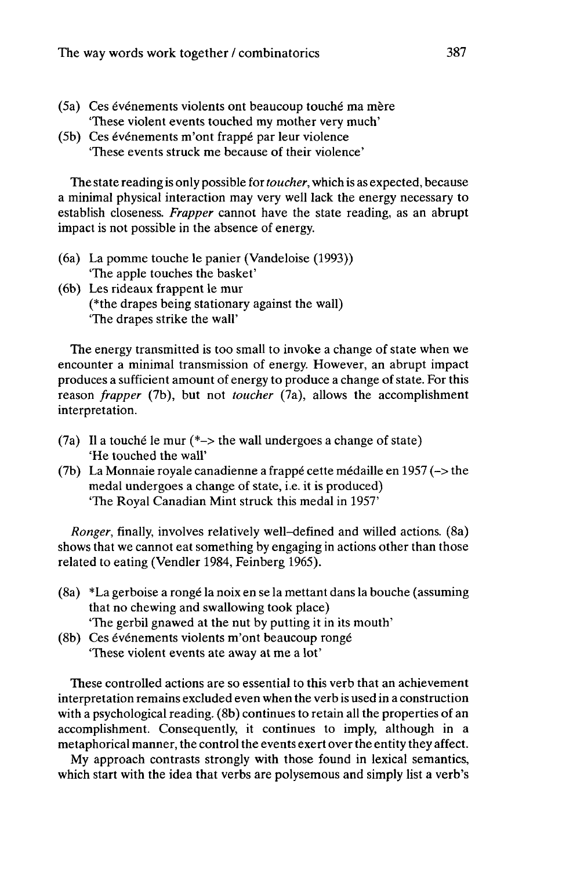- (5a) Ces événements violents ont beaucoup touché ma mère "These violent events touched my mother very much'
- (5b) Ces événements m'ont frappé par leur violence "These events struck me because of their violence'

The state reading is only possible for*toucher,* which is as expected, because a minimal physical interaction may very well lack the energy necessary to establish closeness. *Frapper* cannot have the state reading, as an abrupt impact is not possible in the absence of energy.

- (6a) La pomme touche le panier (Vandeloise (1993)) "The apple touches the basket'
- (6b) Les rideaux frappent le mur (\*the drapes being stationary against the wall) "The drapes strike the wall'

The energy transmitted is too small to invoke a change of state when we encounter a minimal transmission of energy. However, an abrupt impact produces a sufficient amount of energy to produce a change of state. For this reason *frapper* (7b), but not *toucher* (7a), allows the accomplishment interpretation.

- (7a) Il a touché le mur (\*-> the wall undergoes a change of state) 'He touched the wall'
- (7b) La Monnaie royale canadienne a frappé cette médaille en 1957 (-> the medal undergoes a change of state, i.e. it is produced) 'The Royal Canadian Mint struck this medal in 1957'

*Ronger,* finally, involves relatively well-defined and willed actions. (8a) shows that we cannot eat something by engaging in actions other than those related to eating (Vendler 1984, Feinberg 1965).

- (8a) \*La gerboise a rongé la noix en se la mettant dans la bouche (assuming that no chewing and swallowing took place) "The gerbil gnawed at the nut by putting it in its mouth'
- (8b) Ces événements violents m'ont beaucoup rongé "These violent events ate away at me a lot'

These controlled actions are so essential to this verb that an achievement interpretation remains excluded even when the verb is used in a construction with a psychological reading. (8b) continues to retain all the properties of an accomplishment. Consequently, it continues to imply, although in a metaphorical manner, the control the events exert over the entity they affect.

My approach contrasts strongly with those found in lexical semantics, which start with the idea that verbs are polysemous and simply list a verb's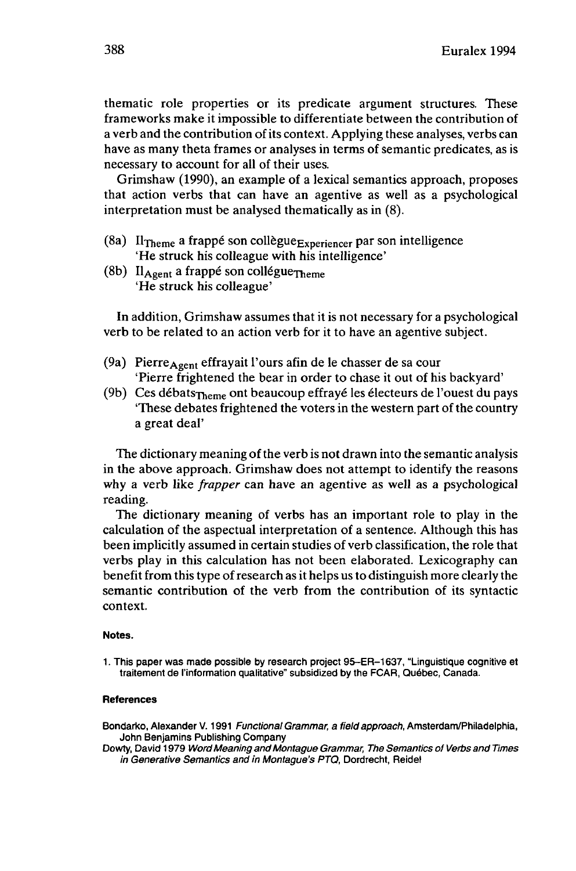thematic role properties or its predicate argument structures. These frameworks make it impossible to differentiate between the contribution of a verb and the contribution of its context. Applying these analyses, verbs can have as many theta frames or analyses in terms of semantic predicates, as is necessary to account for all of their uses.

Grimshaw (1990), an example of a lexical semantics approach, proposes that action verbs that can have an agentive as well as a psychological interpretation must be analysed thematically as in (8).

- (8a) Il<sub>Theme</sub> a frappé son collègue<sub>Experiencer</sub> par son intelligence 'He struck his colleague with his intelligence'
- (8b)  $II_{\text{Agent}}$  a frappé son collégue $\tau_{\text{heme}}$ 'He struck his colleague'

In addition, Grimshaw assumes that it is not necessary for a psychological verb to be related to an action verb for it to have an agentive subject.

- (9a) Pierre $A_{\text{gent}}$  effrayait l'ours afin de le chasser de sa cour 'Pierre frightened the bear in order to chase it out of his backyard'
- (9b) Ces débats $\tau_{\text{heme}}$  ont beaucoup effrayé les électeurs de l'ouest du pays 'These debates frightened the voters in the western part of the country a great deal'

The dictionary meaning of the verb is not drawn into the semantic analysis in the above approach. Grimshaw does not attempt to identify the reasons why a verb like *frapper* can have an agentive as well as a psychological reading.

The dictionary meaning of verbs has an important role to play in the calculation of the aspectual interpretation of a sentence. Although this has been implicitly assumed in certain studies of verb classification, the role that verbs play in this calculation has not been elaborated. Lexicography can benefit from thistype ofresearch as it helps usto distinguish more clearly the semantic contribution of the verb from the contribution of its syntactic context.

#### **Notes.**

1. This paper was made possible by research project 95-ER-1637, "Linguistique cognitive et traitement de l'information qualitative" subsidized by the FCAR, Québec, Canada.

#### **References**

Bondarko, Alexander V. 1991 Functional Grammar, a field approach, Amsterdam/Philadelphia, John Benjamins Publishing Company

Dowry, David 1979 Word Meaning and Montague Grammar, The Semantics of Verbs and Times in Generative Semantics and in Montague's PTQ, Dordrecht, Reidel